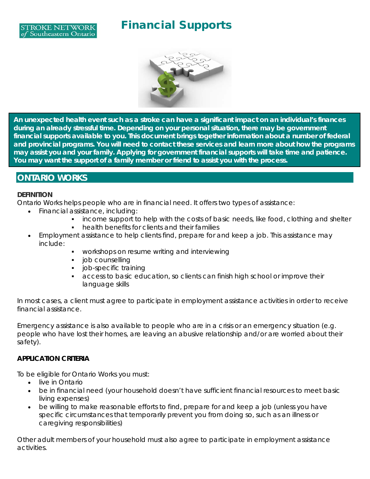



You may want the support of a family member or friend to assist you with the process. **An unexpected health event such as a stroke can have a significant impact on an individual's finances during an already stressful time. Depending on your personal situation, there may be government financial supports available to you. This document brings together information about a number of federal and provincial programs. You will need to contact these services and learn more about how the programs may assist you and your family. Applying for government financial supports will take time and patience.** 

## **ONTARIO WORKS**

#### **DEFINITION**

Ontario Works helps people who are in financial need. It offers two types of assistance:

- Financial assistance, including:
	- **income support to help with the costs of basic needs, like food, clothing and shelter**
	- health benefits for clients and their families
- Employment assistance to help clients find, prepare for and keep a job. This assistance may include:
	- **WORKSHOPS ON resume writing and interviewing**
	- job counselling
	- job-specific training
	- access to basic education, so clients can finish high school or improve their language skills

In most cases, a client must agree to participate in employment assistance activities in order to receive financial assistance.

Emergency assistance is also available to people who are in a crisis or an emergency situation (e.g. people who have lost their homes, are leaving an abusive relationship and/or are worried about their safety).

#### **APPLICATION CRITERIA**

To be eligible for Ontario Works you must:

- live in Ontario
- be in financial need (your household doesn't have sufficient financial resources to meet basic living expenses)
- be willing to make reasonable efforts to find, prepare for and keep a job (unless you have specific circumstances that temporarily prevent you from doing so, such as an illness or caregiving responsibilities)

Other adult members of your household must also agree to participate in employment assistance activities.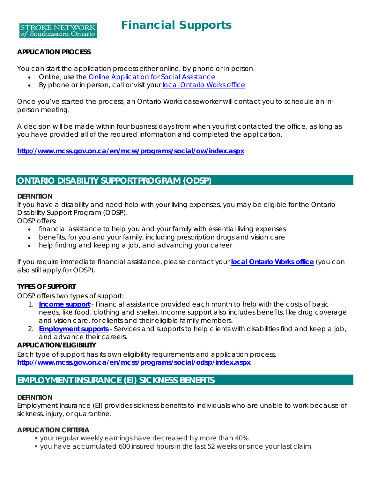**STROKE NETWORK** of Southeastern Ontario

## **APPLICATION PROCESS**

You can start the application process either online, by phone or in person.

- Online, use the **Online Application for Social Assistance**
- By phone or in person, call or visit your [local Ontario Works office](http://www.mcss.gov.on.ca/en/mcss/programs/social/ow/contacts/ow_contacts.aspx)

Once you've started the process, an Ontario Works caseworker will contact you to schedule an inperson meeting.

A decision will be made within four business days from when you first contacted the office, as long as you have provided all of the required information and completed the application.

*<http://www.mcss.gov.on.ca/en/mcss/programs/social/ow/index.aspx>*

# **ONTARIO DISABILITY SUPPORT PROGRAM (ODSP)**

#### **DEFINITION**

If you have a disability and need help with your living expenses, you may be eligible for the Ontario Disability Support Program (ODSP).

ODSP offers:

- financial assistance to help you and your family with essential living expenses
- benefits, for you and your family, including prescription drugs and vision care
- help finding and keeping a job, and advancing your career

If you require immediate financial assistance, please contact your **[local Ontario Works office](http://www.mcss.gov.on.ca/en/mcss/programs/social/ow/contacts/ow_contacts.aspx)** (you can also still apply for ODSP).

## **TYPES OF SUPPORT**

ODSP offers two types of support:

- 1. **[Income support](https://www.mcss.gov.on.ca/en/mcss/programs/social/odsp/income_support/index.aspx)** Financial assistance provided each month to help with the costs of basic needs, like food, clothing and shelter. Income support also includes benefits, like drug coverage and vision care, for clients and their eligible family members.
- 2. **[Employment supports](https://www.mcss.gov.on.ca/en/mcss/programs/social/odsp/employment_support/index.aspx)** Services and supports to help clients with disabilities find and keep a job, and advance their careers.

#### **APPLICATION/ELIGIBILITY**

Each type of support has its own eligibility requirements and application process. **<http://www.mcss.gov.on.ca/en/mcss/programs/social/odsp/index.aspx>**

## **EMPLOYMENT INSURANCE (EI) SICKNESS BENEFITS**

#### **DEFINITION**

Employment Insurance (EI) provides sickness benefits to individuals who are unable to work because of sickness, injury, or quarantine.

#### **APPLICATION CRITERIA**

- your regular weekly earnings have decreased by more than 40%
- you have accumulated 600 insured hours in the last 52 weeks or since your last claim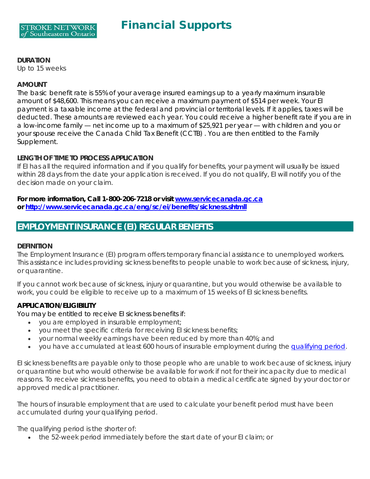#### **DURATION**

Up to 15 weeks

#### **AMOUNT**

The basic benefit rate is 55% of your average insured earnings up to a yearly maximum insurable amount of \$48,600. This means you can receive a maximum payment of \$514 per week. Your EI payment is a taxable income at the federal and provincial or territorial levels. If it applies, taxes will be deducted. These amounts are reviewed each year. You could receive a higher benefit rate if you are in a low-income family — net income up to a maximum of \$25,921 per year — with children and you or your spouse receive the Canada Child Tax Benefit (CCTB) . You are then entitled to the Family Supplement.

## **LENGTH OF TIME TO PROCESS APPLICATION**

If EI has all the required information and if you qualify for benefits, your payment will usually be issued within 28 days from the date your application is received. If you do not qualify, EI will notify you of the decision made on your claim.

**For more information, Call 1-800-206-7218 or visit [www.servicecanada.gc.ca](http://www.servicecanada.gc.ca/) or<http://www.servicecanada.gc.ca/eng/sc/ei/benefits/sickness.shtmll>**

## **EMPLOYMENT INSURANCE (EI) REGULAR BENEFITS**

#### **DEFINITION**

The Employment Insurance (EI) program offers temporary financial assistance to unemployed workers. This assistance includes providing sickness benefits to people unable to work because of sickness, injury, or quarantine.

If you cannot work because of sickness, injury or quarantine, but you would otherwise be available to work, you could be eligible to receive up to a maximum of 15 weeks of EI sickness benefits.

## **APPLICATION/ELIGIBILITY**

You may be entitled to receive EI sickness benefits if:

- you are employed in insurable employment;
- you meet the specific criteria for receiving EI sickness benefits;
- your normal weekly earnings have been reduced by more than 40%; and
- you have accumulated at least 600 hours of insurable employment during the [qualifying period.](https://www.canada.ca/en/services/benefits/ei/ei-sickness/eligibility.html#qualifying_period#qualifying_period)

EI sickness benefits are payable only to those people who are unable to work because of sickness, injury or quarantine but who would otherwise be available for work if not for their incapacity due to medical reasons. To receive sickness benefits, you need to obtain a medical certificate signed by your doctor or approved medical practitioner.

The hours of insurable employment that are used to calculate your benefit period must have been accumulated during your qualifying period.

The qualifying period is the shorter of:

• the 52-week period immediately before the start date of your EI claim; or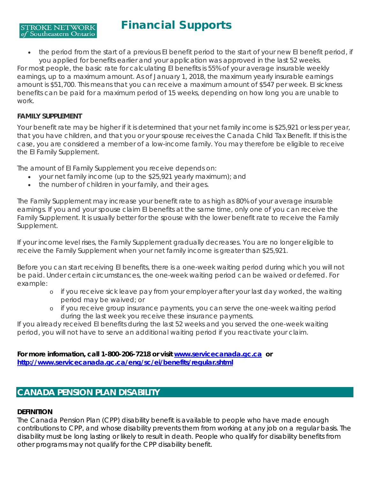• the period from the start of a previous EI benefit period to the start of your new EI benefit period, if you applied for benefits earlier and your application was approved in the last 52 weeks. For most people, the basic rate for calculating EI benefits is 55% of your average insurable weekly earnings, up to a maximum amount. As of January 1, 2018, the maximum yearly insurable earnings amount is \$51,700. This means that you can receive a maximum amount of \$547 per week. EI sickness benefits can be paid for a maximum period of 15 weeks, depending on how long you are unable to

## **FAMILY SUPPLEMENT**

**STROKE NETWORK** of Southeastern Ontario

work.

Your benefit rate may be higher if it is determined that your net family income is \$25,921 or less per year, that you have children, and that you or your spouse receives the Canada Child Tax Benefit. If this is the case, you are considered a member of a low-income family. You may therefore be eligible to receive the EI Family Supplement.

The amount of EI Family Supplement you receive depends on:

- your net family income (up to the \$25,921 yearly maximum); and
- the number of children in your family, and their ages.

The Family Supplement may increase your benefit rate to as high as 80% of your average insurable earnings. If you and your spouse claim EI benefits at the same time, only one of you can receive the Family Supplement. It is usually better for the spouse with the lower benefit rate to receive the Family Supplement.

If your income level rises, the Family Supplement gradually decreases. You are no longer eligible to receive the Family Supplement when your net family income is greater than \$25,921.

Before you can start receiving EI benefits, there is a one-week waiting period during which you will not be paid. Under certain circumstances, the one-week waiting period can be waived or deferred. For example:

- o if you receive sick leave pay from your employer after your last day worked, the waiting period may be waived; or
- o if you receive group insurance payments, you can serve the one-week waiting period during the last week you receive these insurance payments.

If you already received EI benefits during the last 52 weeks and you served the one-week waiting period, you will not have to serve an additional waiting period if you reactivate your claim.

**For more information, call 1-800-206-7218 or visit [www.servicecanada.gc.ca](http://www.servicecanada.gc.ca/) or <http://www.servicecanada.gc.ca/eng/sc/ei/benefits/regular.shtml>**

# **CANADA PENSION PLAN DISABILITY**

## **DEFINITION**

The Canada Pension Plan (CPP) disability benefit is available to people who have made enough contributions to CPP, and whose disability prevents them from working at any job on a regular basis. The disability must be long lasting or likely to result in death. People who qualify for disability benefits from other programs may not qualify for the CPP disability benefit.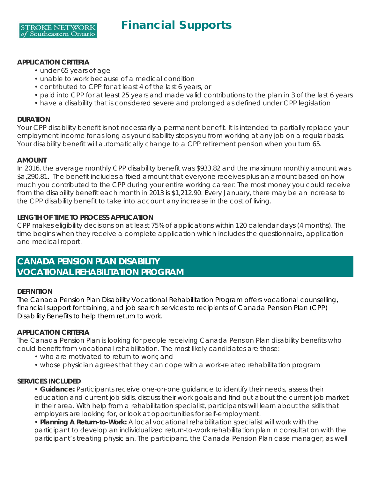#### **APPLICATION CRITERIA**

- under 65 years of age
- unable to work because of a medical condition
- contributed to CPP for at least 4 of the last 6 years, or
- paid into CPP for at least 25 years and made valid contributions to the plan in 3 of the last 6 years
- have a disability that is considered severe and prolonged as defined under CPP legislation

#### **DURATION**

Your CPP disability benefit is not necessarily a permanent benefit. It is intended to partially replace your employment income for as long as your disability stops you from working at any job on a regular basis. Your disability benefit will automatically change to a CPP retirement pension when you turn 65.

#### **AMOUNT**

In 2016, the average monthly CPP disability benefit was \$933.82 and the maximum monthly amount was \$a,290.81. The benefit includes a fixed amount that everyone receives plus an amount based on how much you contributed to the CPP during your entire working career. The most money you could receive from the disability benefit each month in 2013 is \$1,212.90. Every January, there may be an increase to the CPP disability benefit to take into account any increase in the cost of living.

#### **LENGTH OF TIME TO PROCESS APPLICATION**

CPP makes eligibility decisions on at least 75% of applications within 120 calendar days (4 months). The time begins when they receive a complete application which includes the questionnaire, application and medical report.

# **CANADA PENSION PLAN DISABILITY VOCATIONAL REHABILITATION PROGRAM**

## **DEFINITION**

The Canada Pension Plan Disability Vocational Rehabilitation Program offers vocational counselling, financial support for training, and job search services to recipients of Canada Pension Plan (CPP) Disability Benefits to help them return to work.

## **APPLICATION CRITERIA**

The Canada Pension Plan is looking for people receiving Canada Pension Plan disability benefits who could benefit from vocational rehabilitation. The most likely candidates are those:

- who are motivated to return to work; and
- whose physician agrees that they can cope with a work-related rehabilitation program

#### **SERVICES INCLUDED**

• **Guidance:** Participants receive one-on-one guidance to identify their needs, assess their education and current job skills, discuss their work goals and find out about the current job market in their area. With help from a rehabilitation specialist, participants will learn about the skills that employers are looking for, or look at opportunities for self-employment.

• **Planning A Return-to-Work:** A local vocational rehabilitation specialist will work with the participant to develop an individualized return-to-work rehabilitation plan in consultation with the participant's treating physician. The participant, the Canada Pension Plan case manager, as well